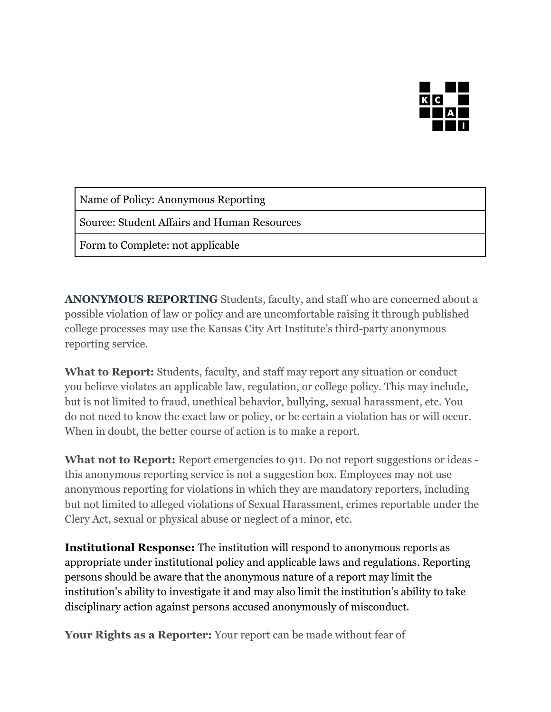

Name of Policy: Anonymous Reporting

Source: Student Affairs and Human Resources

Form to Complete: not applicable

**ANONYMOUS REPORTING** Students, faculty, and staff who are concerned about a possible violation of law or policy and are uncomfortable raising it through published college processes may use the Kansas City Art Institute's third-party anonymous reporting service.

**What to Report:** Students, faculty, and staff may report any situation or conduct you believe violates an applicable law, regulation, or college policy. This may include, but is not limited to fraud, unethical behavior, bullying, sexual harassment, etc. You do not need to know the exact law or policy, or be certain a violation has or will occur. When in doubt, the better course of action is to make a report.

What not to Report: Report emergencies to 911. Do not report suggestions or ideas this anonymous reporting service is not a suggestion box. Employees may not use anonymous reporting for violations in which they are mandatory reporters, including but not limited to alleged violations of Sexual Harassment, crimes reportable under the Clery Act, sexual or physical abuse or neglect of a minor, etc.

**Institutional Response:** The institution will respond to anonymous reports as appropriate under institutional policy and applicable laws and regulations. Reporting persons should be aware that the anonymous nature of a report may limit the institution's ability to investigate it and may also limit the institution's ability to take disciplinary action against persons accused anonymously of misconduct.

**Your Rights as a Reporter:** Your report can be made without fear of